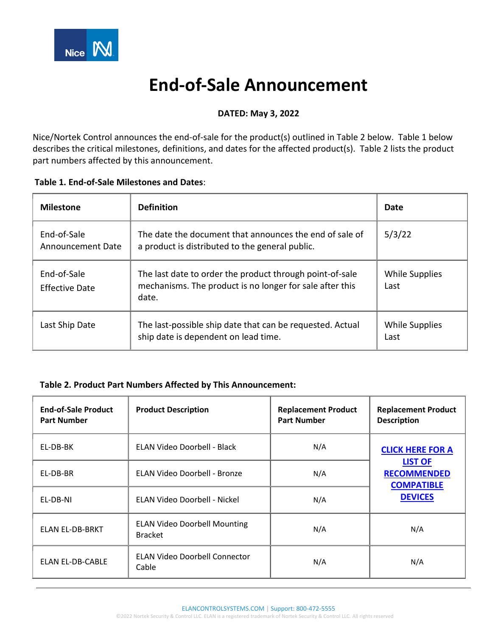

# **End-of-Sale Announcement**

## **DATED: May 3, 2022**

Nice/Nortek Control announces the end-of-sale for the product(s) outlined in Table 2 below. Table 1 below describes the critical milestones, definitions, and dates for the affected product(s). Table 2 lists the product part numbers affected by this announcement.

| <b>Milestone</b>                 | <b>Definition</b>                                                                                                             | Date                          |
|----------------------------------|-------------------------------------------------------------------------------------------------------------------------------|-------------------------------|
| End-of-Sale<br>Announcement Date | The date the document that announces the end of sale of<br>a product is distributed to the general public.                    | 5/3/22                        |
| End-of-Sale<br>Effective Date    | The last date to order the product through point-of-sale<br>mechanisms. The product is no longer for sale after this<br>date. | <b>While Supplies</b><br>Last |
| Last Ship Date                   | The last-possible ship date that can be requested. Actual<br>ship date is dependent on lead time.                             | While Supplies<br>Last        |

## **Table 2. Product Part Numbers Affected by This Announcement:**

| <b>End-of-Sale Product</b><br><b>Part Number</b> | <b>Product Description</b>                            | <b>Replacement Product</b><br><b>Part Number</b> | <b>Replacement Product</b><br><b>Description</b>                            |
|--------------------------------------------------|-------------------------------------------------------|--------------------------------------------------|-----------------------------------------------------------------------------|
| EL-DB-BK                                         | ELAN Video Doorbell - Black                           | N/A                                              | <b>CLICK HERE FOR A</b>                                                     |
| EL-DB-BR                                         | ELAN Video Doorbell - Bronze                          | N/A                                              | <b>LIST OF</b><br><b>RECOMMENDED</b><br><b>COMPATIBLE</b><br><b>DEVICES</b> |
| EL-DB-NI                                         | <b>ELAN Video Doorbell - Nickel</b>                   | N/A                                              |                                                                             |
| <b>ELAN EL-DB-BRKT</b>                           | <b>ELAN Video Doorbell Mounting</b><br><b>Bracket</b> | N/A                                              | N/A                                                                         |
| ELAN EL-DB-CABLE                                 | <b>ELAN Video Doorbell Connector</b><br>Cable         | N/A                                              | N/A                                                                         |